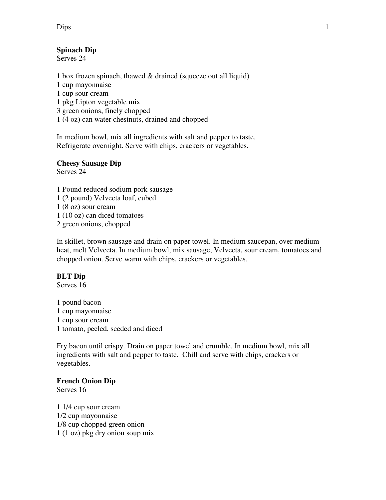Dips 1

# **Spinach Dip**

Serves 24

1 box frozen spinach, thawed & drained (squeeze out all liquid) 1 cup mayonnaise 1 cup sour cream 1 pkg Lipton vegetable mix 3 green onions, finely chopped 1 (4 oz) can water chestnuts, drained and chopped

In medium bowl, mix all ingredients with salt and pepper to taste. Refrigerate overnight. Serve with chips, crackers or vegetables.

#### **Cheesy Sausage Dip**  Serves 24

1 Pound reduced sodium pork sausage 1 (2 pound) Velveeta loaf, cubed 1 (8 oz) sour cream 1 (10 oz) can diced tomatoes 2 green onions, chopped

In skillet, brown sausage and drain on paper towel. In medium saucepan, over medium heat, melt Velveeta. In medium bowl, mix sausage, Velveeta, sour cream, tomatoes and chopped onion. Serve warm with chips, crackers or vegetables.

# **BLT Dip**

Serves 16

1 pound bacon 1 cup mayonnaise 1 cup sour cream 1 tomato, peeled, seeded and diced

Fry bacon until crispy. Drain on paper towel and crumble. In medium bowl, mix all ingredients with salt and pepper to taste. Chill and serve with chips, crackers or vegetables.

# **French Onion Dip**

Serves 16

1 1/4 cup sour cream 1/2 cup mayonnaise 1/8 cup chopped green onion 1 (1 oz) pkg dry onion soup mix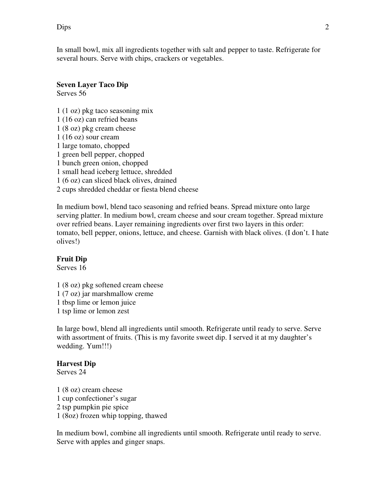Dips 2

In small bowl, mix all ingredients together with salt and pepper to taste. Refrigerate for several hours. Serve with chips, crackers or vegetables.

### **Seven Layer Taco Dip**

Serves 56

1 (1 oz) pkg taco seasoning mix 1 (16 oz) can refried beans 1 (8 oz) pkg cream cheese 1 (16 oz) sour cream 1 large tomato, chopped 1 green bell pepper, chopped 1 bunch green onion, chopped 1 small head iceberg lettuce, shredded 1 (6 oz) can sliced black olives, drained 2 cups shredded cheddar or fiesta blend cheese

In medium bowl, blend taco seasoning and refried beans. Spread mixture onto large serving platter. In medium bowl, cream cheese and sour cream together. Spread mixture over refried beans. Layer remaining ingredients over first two layers in this order: tomato, bell pepper, onions, lettuce, and cheese. Garnish with black olives. (I don't. I hate olives!)

#### **Fruit Dip**

Serves 16

1 (8 oz) pkg softened cream cheese 1 (7 oz) jar marshmallow creme 1 tbsp lime or lemon juice 1 tsp lime or lemon zest

In large bowl, blend all ingredients until smooth. Refrigerate until ready to serve. Serve with assortment of fruits. (This is my favorite sweet dip. I served it at my daughter's wedding. Yum!!!)

#### **Harvest Dip**

Serves 24

1 (8 oz) cream cheese 1 cup confectioner's sugar 2 tsp pumpkin pie spice 1 (8oz) frozen whip topping, thawed

In medium bowl, combine all ingredients until smooth. Refrigerate until ready to serve. Serve with apples and ginger snaps.